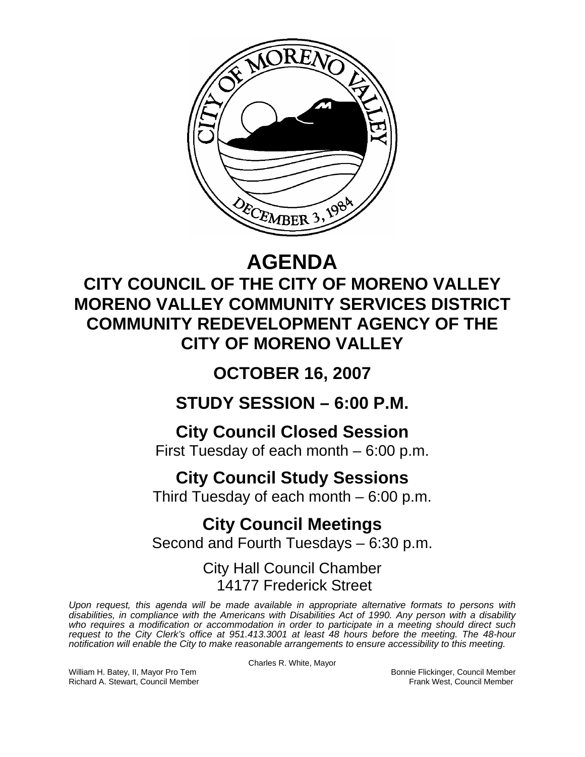

# **AGENDA**

#### **CITY COUNCIL OF THE CITY OF MORENO VALLEY MORENO VALLEY COMMUNITY SERVICES DISTRICT COMMUNITY REDEVELOPMENT AGENCY OF THE CITY OF MORENO VALLEY**

## **OCTOBER 16, 2007**

**STUDY SESSION – 6:00 P.M.** 

#### **City Council Closed Session**

First Tuesday of each month – 6:00 p.m.

## **City Council Study Sessions**

Third Tuesday of each month – 6:00 p.m.

## **City Council Meetings**

Second and Fourth Tuesdays – 6:30 p.m.

#### City Hall Council Chamber 14177 Frederick Street

*Upon request, this agenda will be made available in appropriate alternative formats to persons with disabilities, in compliance with the Americans with Disabilities Act of 1990. Any person with a disability*  who requires a modification or accommodation in order to participate in a meeting should direct such *request to the City Clerk's office at 951.413.3001 at least 48 hours before the meeting. The 48-hour notification will enable the City to make reasonable arrangements to ensure accessibility to this meeting.* 

Charles R. White, Mayor

William H. Batey, II, Mayor Pro Tem **Bonnie Flickinger, Council Member**<br>Richard A. Stewart. Council Member **Bonnie Flickinger, Council Member** Richard A. Stewart, Council Member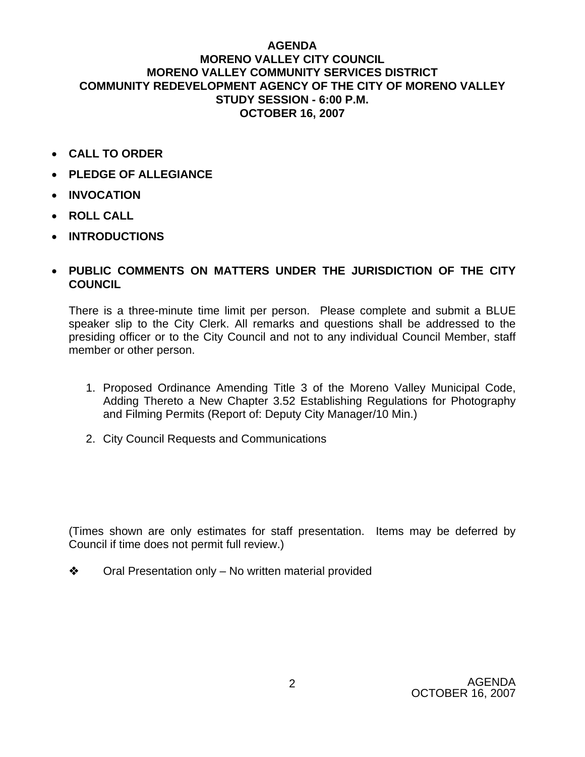#### **AGENDA MORENO VALLEY CITY COUNCIL MORENO VALLEY COMMUNITY SERVICES DISTRICT COMMUNITY REDEVELOPMENT AGENCY OF THE CITY OF MORENO VALLEY STUDY SESSION - 6:00 P.M. OCTOBER 16, 2007**

- **CALL TO ORDER**
- **PLEDGE OF ALLEGIANCE**
- **INVOCATION**
- **ROLL CALL**
- **INTRODUCTIONS**
- **PUBLIC COMMENTS ON MATTERS UNDER THE JURISDICTION OF THE CITY COUNCIL**

There is a three-minute time limit per person. Please complete and submit a BLUE speaker slip to the City Clerk. All remarks and questions shall be addressed to the presiding officer or to the City Council and not to any individual Council Member, staff member or other person.

- 1. Proposed Ordinance Amending Title 3 of the Moreno Valley Municipal Code, Adding Thereto a New Chapter 3.52 Establishing Regulations for Photography and Filming Permits (Report of: Deputy City Manager/10 Min.)
- 2. City Council Requests and Communications

(Times shown are only estimates for staff presentation. Items may be deferred by Council if time does not permit full review.)

**❖** Oral Presentation only – No written material provided